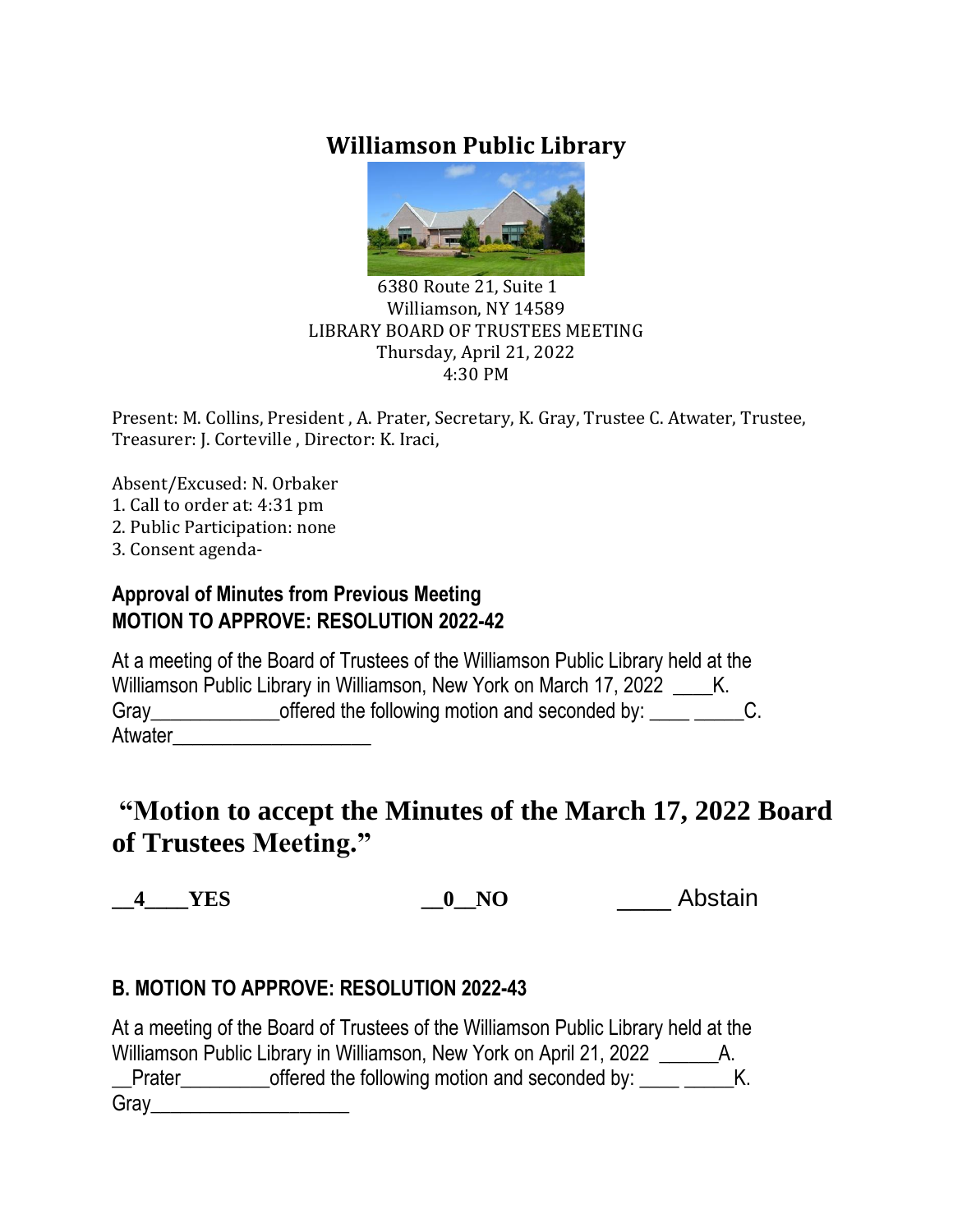# **Williamson Public Library**



#### 6380 Route 21, Suite 1 Williamson, NY 14589 LIBRARY BOARD OF TRUSTEES MEETING Thursday, April 21, 2022 4:30 PM

Present: M. Collins, President , A. Prater, Secretary, K. Gray, Trustee C. Atwater, Trustee, Treasurer: J. Corteville , Director: K. Iraci,

Absent/Excused: N. Orbaker

- 1. Call to order at: 4:31 pm
- 2. Public Participation: none
- 3. Consent agenda-

### **Approval of Minutes from Previous Meeting MOTION TO APPROVE: RESOLUTION 2022-42**

At a meeting of the Board of Trustees of the Williamson Public Library held at the Williamson Public Library in Williamson, New York on March 17, 2022 \_\_\_\_\_K. Gray\_\_\_\_\_\_\_\_\_\_\_\_\_\_\_\_offered the following motion and seconded by: \_\_\_\_\_\_\_\_\_\_\_\_C. Atwater\_\_\_\_\_\_\_\_\_\_\_\_\_\_\_\_\_\_\_\_

# **"Motion to accept the Minutes of the March 17, 2022 Board of Trustees Meeting."**

**\_\_4\_\_\_\_YES \_\_0\_\_NO** \_\_\_\_ Abstain

# **B. MOTION TO APPROVE: RESOLUTION 2022-43**

At a meeting of the Board of Trustees of the Williamson Public Library held at the Williamson Public Library in Williamson, New York on April 21, 2022 \_\_\_\_\_\_\_\_ A. Let Frater example the following motion and seconded by: \_\_\_\_ \_\_\_\_\_K. Gray\_\_\_\_\_\_\_\_\_\_\_\_\_\_\_\_\_\_\_\_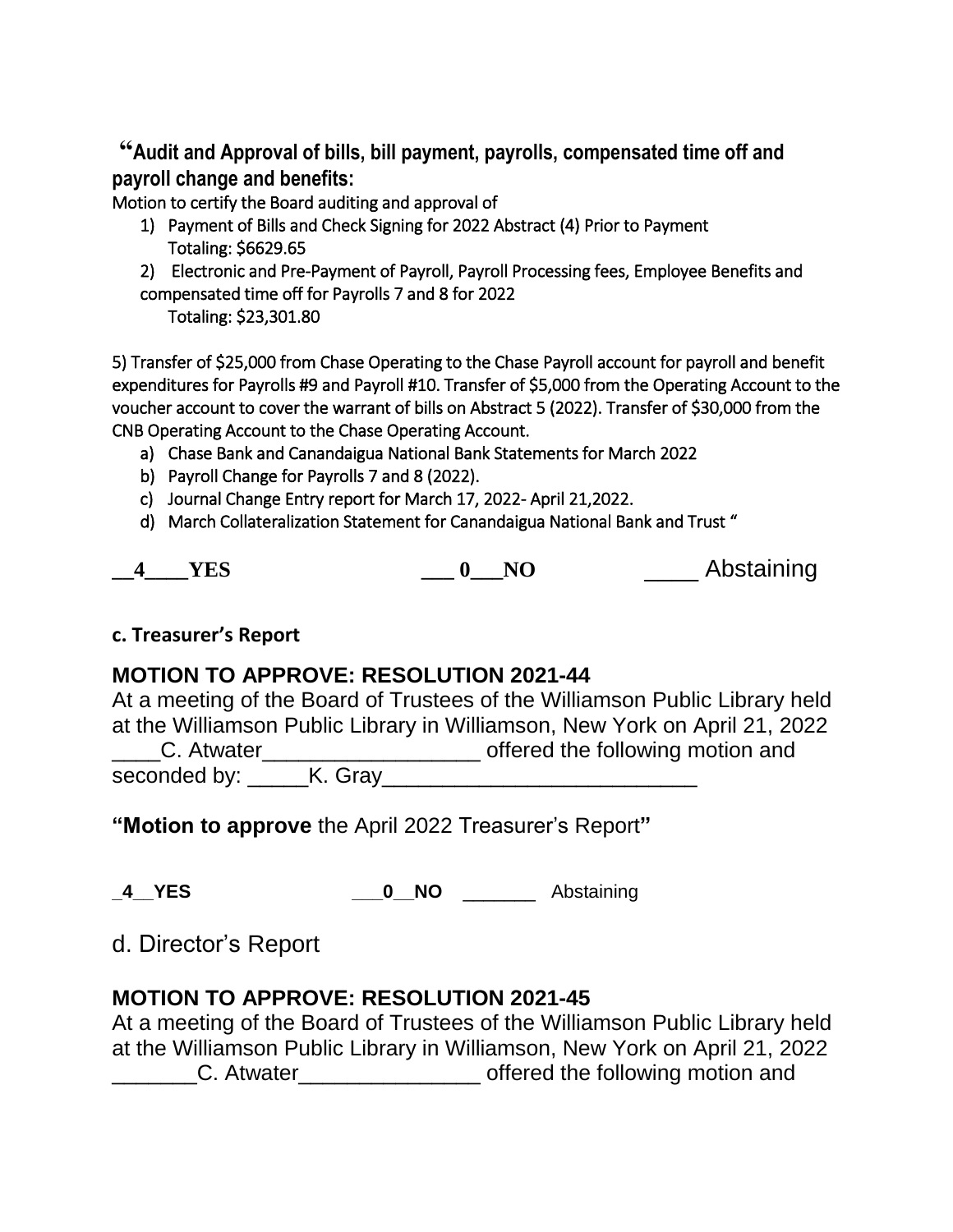**"Audit and Approval of bills, bill payment, payrolls, compensated time off and payroll change and benefits:**

Motion to certify the Board auditing and approval of

- 1) Payment of Bills and Check Signing for 2022 Abstract (4) Prior to Payment Totaling: \$6629.65
- 2) Electronic and Pre-Payment of Payroll, Payroll Processing fees, Employee Benefits and compensated time off for Payrolls 7 and 8 for 2022

Totaling: \$23,301.80

5) Transfer of \$25,000 from Chase Operating to the Chase Payroll account for payroll and benefit expenditures for Payrolls #9 and Payroll #10. Transfer of \$5,000 from the Operating Account to the voucher account to cover the warrant of bills on Abstract 5 (2022). Transfer of \$30,000 from the CNB Operating Account to the Chase Operating Account.

- a) Chase Bank and Canandaigua National Bank Statements for March 2022
- b) Payroll Change for Payrolls 7 and 8 (2022).
- c) Journal Change Entry report for March 17, 2022- April 21,2022.
- d) March Collateralization Statement for Canandaigua National Bank and Trust "

|  |  |  |  |  | Abstaining |
|--|--|--|--|--|------------|
|--|--|--|--|--|------------|

### **c. Treasurer's Report**

# **MOTION TO APPROVE: RESOLUTION 2021-44**

At a meeting of the Board of Trustees of the Williamson Public Library held at the Williamson Public Library in Williamson, New York on April 21, 2022 LC. Atwater\_\_\_\_\_\_\_\_\_\_\_\_\_\_\_\_\_\_\_\_\_\_\_\_\_\_ offered the following motion and seconded by: \_\_\_\_\_K. Gray\_\_\_\_\_\_\_\_\_\_\_\_\_\_\_\_\_\_\_\_\_\_\_\_\_\_

**"Motion to approve** the April 2022 Treasurer's Report**"**

**\_4\_\_YES \_\_\_0\_\_NO** \_\_\_\_\_\_\_ Abstaining

d. Director's Report

### **MOTION TO APPROVE: RESOLUTION 2021-45**

At a meeting of the Board of Trustees of the Williamson Public Library held at the Williamson Public Library in Williamson, New York on April 21, 2022 C. Atwater entitled the following motion and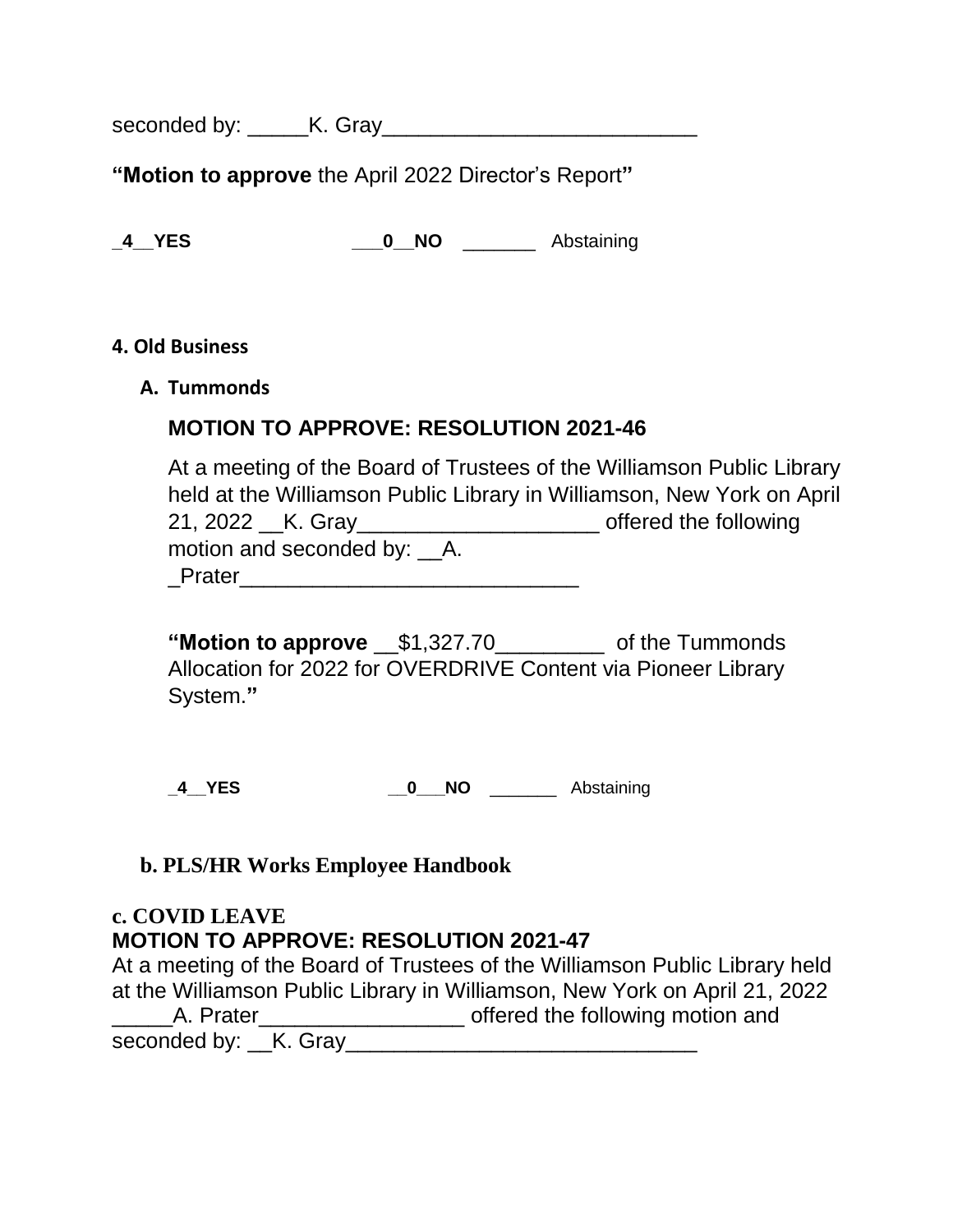seconded by: \_\_\_\_\_K. Gray\_\_\_\_\_\_\_\_\_\_\_\_\_\_\_\_\_\_\_\_\_\_\_\_\_\_

**"Motion to approve** the April 2022 Director's Report**"**

**\_4\_\_YES \_\_\_0\_\_NO** \_\_\_\_\_\_\_ Abstaining

#### **4. Old Business**

**A. Tummonds**

### **MOTION TO APPROVE: RESOLUTION 2021-46**

At a meeting of the Board of Trustees of the Williamson Public Library held at the Williamson Public Library in Williamson, New York on April 21, 2022 \_\_K. Gray\_\_\_\_\_\_\_\_\_\_\_\_\_\_\_\_\_\_\_\_ offered the following motion and seconded by: \_\_A. \_Prater\_\_\_\_\_\_\_\_\_\_\_\_\_\_\_\_\_\_\_\_\_\_\_\_\_\_\_\_

**"Motion to approve** \_\_\$1,327.70\_\_\_\_\_\_\_\_\_ of the Tummonds Allocation for 2022 for OVERDRIVE Content via Pioneer Library System.**"**

**\_4\_\_YES \_\_0\_\_\_NO** \_\_\_\_\_\_\_ Abstaining

### **b. PLS/HR Works Employee Handbook**

### **c. COVID LEAVE MOTION TO APPROVE: RESOLUTION 2021-47**

At a meeting of the Board of Trustees of the Williamson Public Library held at the Williamson Public Library in Williamson, New York on April 21, 2022 \_\_\_\_\_\_A. Prater\_\_\_\_\_\_\_\_\_\_\_\_\_\_\_\_\_\_\_\_\_\_\_\_\_\_ offered the following motion and seconded by: \_\_K. Gray\_\_\_\_\_\_\_\_\_\_\_\_\_\_\_\_\_\_\_\_\_\_\_\_\_\_\_\_\_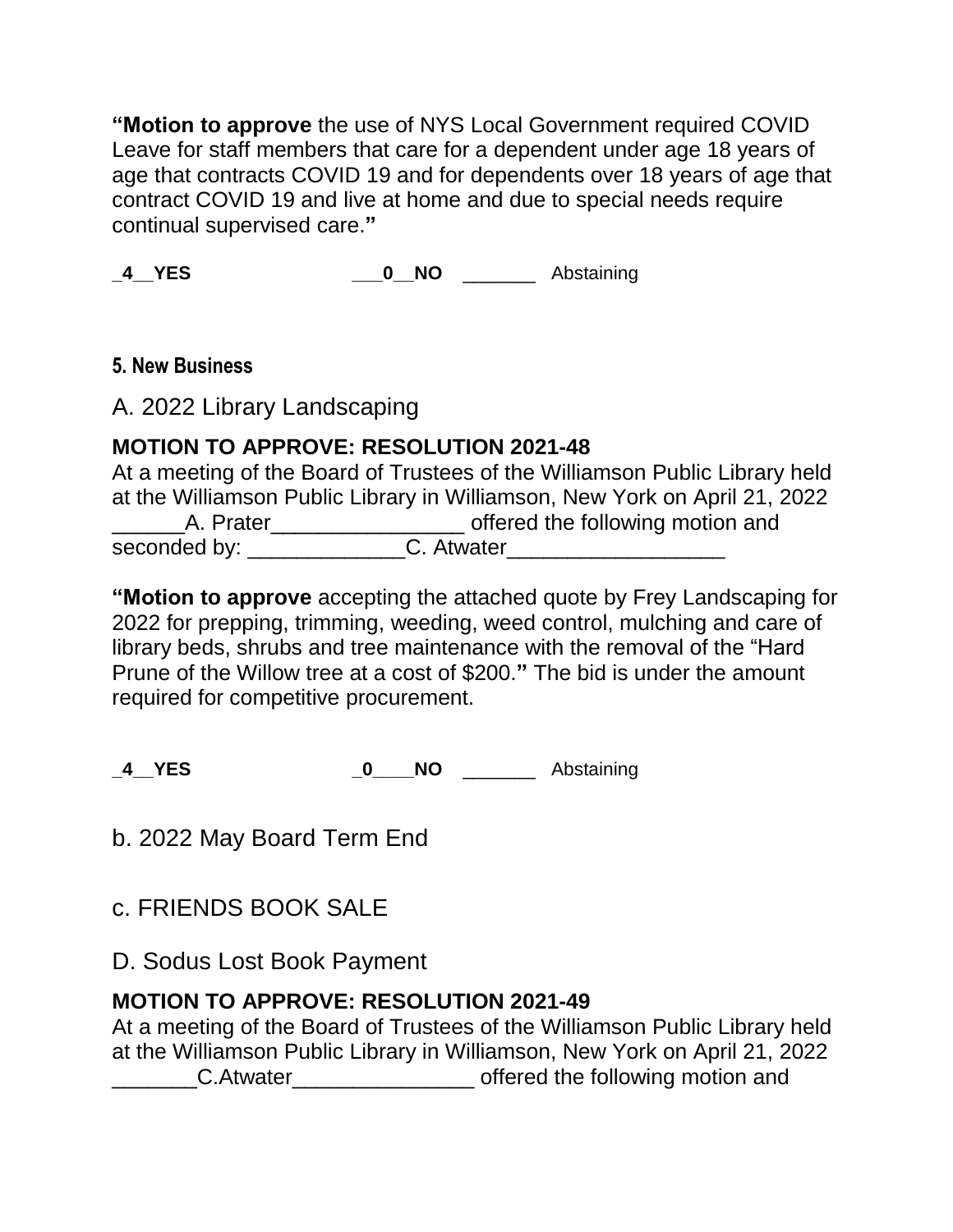**"Motion to approve** the use of NYS Local Government required COVID Leave for staff members that care for a dependent under age 18 years of age that contracts COVID 19 and for dependents over 18 years of age that contract COVID 19 and live at home and due to special needs require continual supervised care.**"**

**\_4\_\_YES \_\_\_0\_\_NO** \_\_\_\_\_\_\_ Abstaining

### **5. New Business**

A. 2022 Library Landscaping

# **MOTION TO APPROVE: RESOLUTION 2021-48**

At a meeting of the Board of Trustees of the Williamson Public Library held at the Williamson Public Library in Williamson, New York on April 21, 2022 \_\_\_\_\_\_A. Prater\_\_\_\_\_\_\_\_\_\_\_\_\_\_\_\_ offered the following motion and

seconded by: \_\_\_\_\_\_\_\_\_\_\_\_\_C. Atwater\_\_\_\_\_\_\_\_\_\_\_\_\_\_\_\_\_\_

**"Motion to approve** accepting the attached quote by Frey Landscaping for 2022 for prepping, trimming, weeding, weed control, mulching and care of library beds, shrubs and tree maintenance with the removal of the "Hard Prune of the Willow tree at a cost of \$200.**"** The bid is under the amount required for competitive procurement.

**\_4\_\_YES \_0\_\_\_\_NO** \_\_\_\_\_\_\_ Abstaining

b. 2022 May Board Term End

c. FRIENDS BOOK SALE

D. Sodus Lost Book Payment

# **MOTION TO APPROVE: RESOLUTION 2021-49**

At a meeting of the Board of Trustees of the Williamson Public Library held at the Williamson Public Library in Williamson, New York on April 21, 2022 C.Atwater contact the following motion and